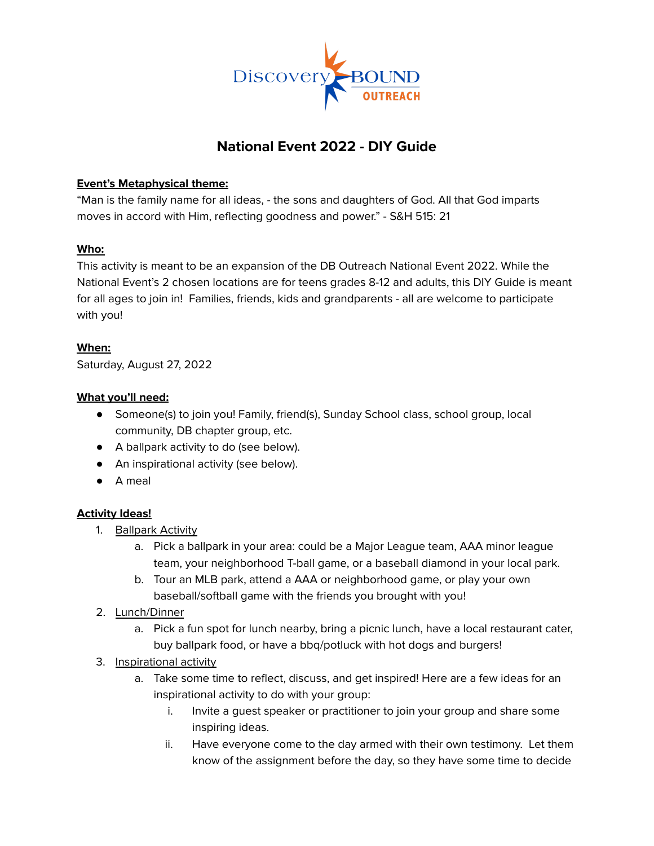

# **National Event 2022 - DIY Guide**

## **Event's Metaphysical theme:**

"Man is the family name for all ideas, - the sons and daughters of God. All that God imparts moves in accord with Him, reflecting goodness and power." - S&H 515: 21

## **Who:**

This activity is meant to be an expansion of the DB Outreach National Event 2022. While the National Event's 2 chosen locations are for teens grades 8-12 and adults, this DIY Guide is meant for all ages to join in! Families, friends, kids and grandparents - all are welcome to participate with you!

#### **When:**

Saturday, August 27, 2022

## **What you'll need:**

- Someone(s) to join you! Family, friend(s), Sunday School class, school group, local community, DB chapter group, etc.
- A ballpark activity to do (see below).
- An inspirational activity (see below).
- A meal

# **Activity Ideas!**

- 1. Ballpark Activity
	- a. Pick a ballpark in your area: could be a Major League team, AAA minor league team, your neighborhood T-ball game, or a baseball diamond in your local park.
	- b. Tour an MLB park, attend a AAA or neighborhood game, or play your own baseball/softball game with the friends you brought with you!
- 2. Lunch/Dinner
	- a. Pick a fun spot for lunch nearby, bring a picnic lunch, have a local restaurant cater, buy ballpark food, or have a bbq/potluck with hot dogs and burgers!
- 3. Inspirational activity
	- a. Take some time to reflect, discuss, and get inspired! Here are a few ideas for an inspirational activity to do with your group:
		- i. Invite a guest speaker or practitioner to join your group and share some inspiring ideas.
		- ii. Have everyone come to the day armed with their own testimony. Let them know of the assignment before the day, so they have some time to decide